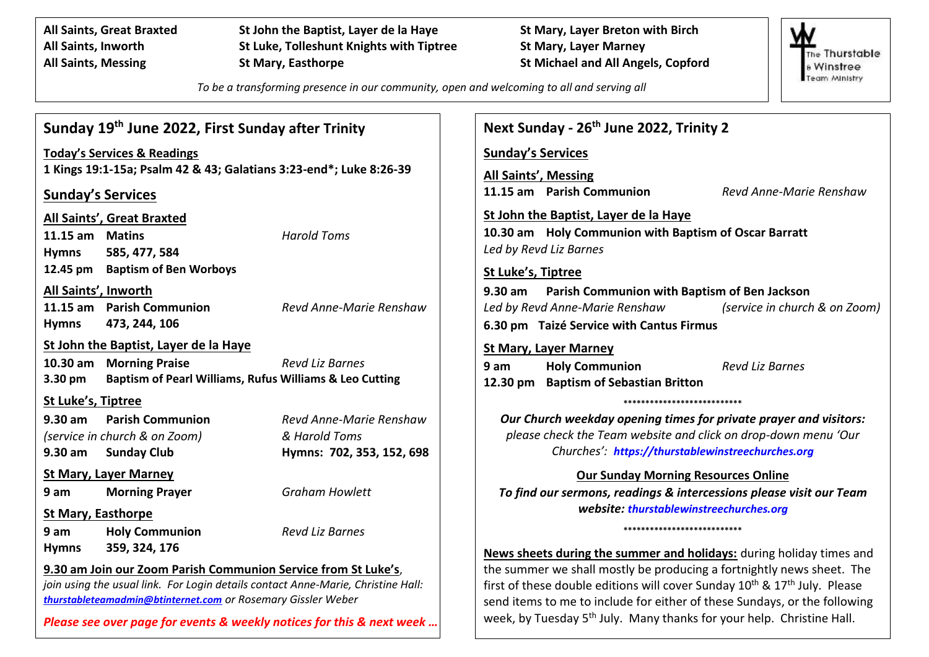| All Saints, Great Braxted<br>All Saints, Inworth<br>All Saints, Messing                                                                                                                                                                                                                                                      | St John the Baptist, Layer de la Haye<br>St Luke, Tolleshunt Knights with Tiptree<br><b>St Mary, Easthorpe</b> | St Mary, Layer Breton with Birch<br><b>St Mary, Layer Marney</b><br><b>St Michael and All Angels, Copford</b>                                                                                                                                                                                                                                                                                                        | The Thurstable<br><b>&amp; Winstree</b> |  |
|------------------------------------------------------------------------------------------------------------------------------------------------------------------------------------------------------------------------------------------------------------------------------------------------------------------------------|----------------------------------------------------------------------------------------------------------------|----------------------------------------------------------------------------------------------------------------------------------------------------------------------------------------------------------------------------------------------------------------------------------------------------------------------------------------------------------------------------------------------------------------------|-----------------------------------------|--|
|                                                                                                                                                                                                                                                                                                                              | To be a transforming presence in our community, open and welcoming to all and serving all                      |                                                                                                                                                                                                                                                                                                                                                                                                                      | Team Ministry                           |  |
| Sunday 19 <sup>th</sup> June 2022, First Sunday after Trinity                                                                                                                                                                                                                                                                |                                                                                                                | Next Sunday - 26 <sup>th</sup> June 2022, Trinity 2                                                                                                                                                                                                                                                                                                                                                                  |                                         |  |
| <b>Today's Services &amp; Readings</b><br>1 Kings 19:1-15a; Psalm 42 & 43; Galatians 3:23-end*; Luke 8:26-39<br><b>Sunday's Services</b>                                                                                                                                                                                     |                                                                                                                | <b>Sunday's Services</b><br><b>All Saints', Messing</b><br>11.15 am Parish Communion<br>Revd Anne-Marie Renshaw                                                                                                                                                                                                                                                                                                      |                                         |  |
| All Saints', Great Braxted<br>11.15 am Matins<br><b>Hymns</b><br>585, 477, 584                                                                                                                                                                                                                                               | <b>Harold Toms</b>                                                                                             | St John the Baptist, Layer de la Haye<br>10.30 am Holy Communion with Baptism of Oscar Barratt<br>Led by Revd Liz Barnes                                                                                                                                                                                                                                                                                             |                                         |  |
| <b>Baptism of Ben Worboys</b><br>12.45 pm<br>All Saints', Inworth<br>11.15 am Parish Communion<br>473, 244, 106<br><b>Hymns</b>                                                                                                                                                                                              | Revd Anne-Marie Renshaw                                                                                        | <b>St Luke's, Tiptree</b><br>Parish Communion with Baptism of Ben Jackson<br>$9.30$ am<br>Led by Revd Anne-Marie Renshaw<br>6.30 pm Taizé Service with Cantus Firmus                                                                                                                                                                                                                                                 | (service in church & on Zoom)           |  |
| St John the Baptist, Layer de la Haye<br>$10.30$ am<br><b>Morning Praise</b><br>3.30 pm                                                                                                                                                                                                                                      | <b>Revd Liz Barnes</b><br>Baptism of Pearl Williams, Rufus Williams & Leo Cutting                              | <b>St Mary, Layer Marney</b><br>9 am<br><b>Holy Communion</b><br><b>Revd Liz Barnes</b><br>12.30 pm Baptism of Sebastian Britton                                                                                                                                                                                                                                                                                     |                                         |  |
| St Luke's, Tiptree<br>$9.30$ am<br><b>Parish Communion</b><br>(service in church & on Zoom)<br>9.30 am<br><b>Sunday Club</b>                                                                                                                                                                                                 | Revd Anne-Marie Renshaw<br>& Harold Toms<br>Hymns: 702, 353, 152, 698                                          | *********************<br>Our Church weekday opening times for private prayer and visitors:<br>please check the Team website and click on drop-down menu 'Our<br>Churches': https://thurstablewinstreechurches.org<br><b>Our Sunday Morning Resources Online</b><br>To find our sermons, readings & intercessions please visit our Team<br>website: thurstablewinstreechurches.org<br>***************************     |                                         |  |
| <b>St Mary, Layer Marney</b><br><b>Morning Prayer</b><br>9 am<br><b>St Mary, Easthorpe</b><br><b>Holy Communion</b><br>9 am                                                                                                                                                                                                  | <b>Graham Howlett</b><br><b>Revd Liz Barnes</b>                                                                |                                                                                                                                                                                                                                                                                                                                                                                                                      |                                         |  |
| 359, 324, 176<br><b>Hymns</b><br>9.30 am Join our Zoom Parish Communion Service from St Luke's,<br>join using the usual link. For Login details contact Anne-Marie, Christine Hall:<br>thurstableteamadmin@btinternet.com or Rosemary Gissler Weber<br>Please see over page for events & weekly notices for this & next week |                                                                                                                | News sheets during the summer and holidays: during holiday times and<br>the summer we shall mostly be producing a fortnightly news sheet. The<br>first of these double editions will cover Sunday 10 <sup>th</sup> & 17 <sup>th</sup> July. Please<br>send items to me to include for either of these Sundays, or the following<br>week, by Tuesday 5 <sup>th</sup> July. Many thanks for your help. Christine Hall. |                                         |  |